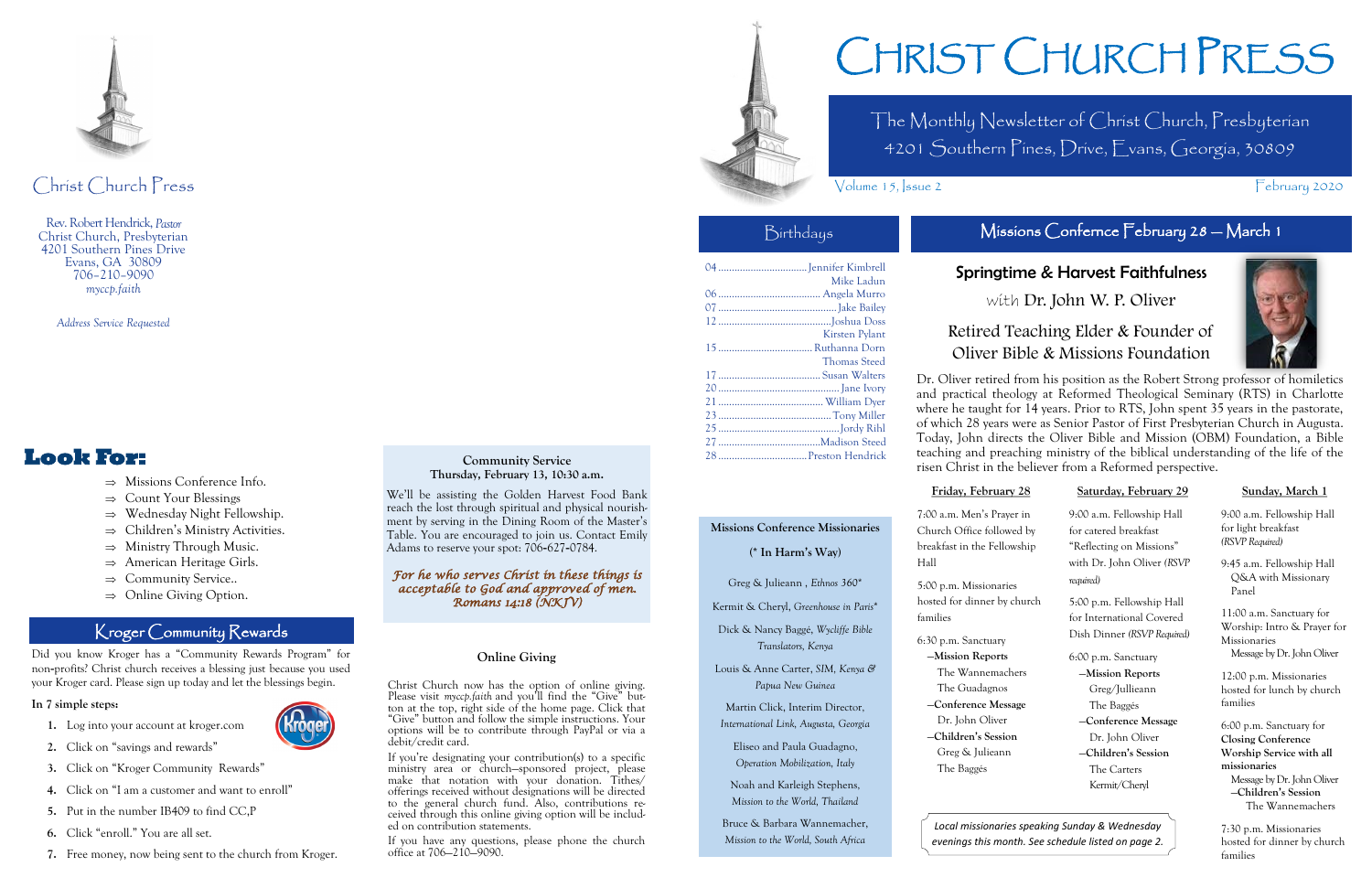The Monthly Newsletter of Christ Church, Presbyterian 4201 Southern Pines, Drive, Evans, Georgia, 30809

# Birthdays Missions Confernce February 28 - March 1

# CHRIST CHURCH PRESS

Volume 15, Sue 2 February 2020

| Mike Ladun          |
|---------------------|
|                     |
|                     |
|                     |
| Kirsten Pylant      |
|                     |
| <b>Thomas Steed</b> |
|                     |
|                     |
|                     |
|                     |
|                     |
|                     |
|                     |
|                     |



# Christ Church Press

Rev. Robert Hendrick, *Pastor* Christ Church, Presbyterian 4201 Southern Pines Drive Evans, GA 30809 706–210–9090 *myccp.faith*

*Address Service Requested*

# **Look For:**

- $\Rightarrow$  Missions Conference Info.
- $\Rightarrow$  Count Your Blessings
- $\Rightarrow$  Wednesday Night Fellowship.
- $\Rightarrow$  Children's Ministry Activities.
- $\Rightarrow$  Ministry Through Music.
- $\Rightarrow$  American Heritage Girls.
- $\Rightarrow$  Community Service..
- $\Rightarrow$  Online Giving Option.

#### **Community Service Thursday, February 13, 10:30 a.m.**

We'll be assisting the Golden Harvest Food Bank reach the lost through spiritual and physical nourishment by serving in the Dining Room of the Master's Table. You are encouraged to join us. Contact Emily Adams to reserve your spot: 706-627-0784.

#### *For he who serves Christ in these things is acceptable to God and approved of men. Romans 14:18 (NKJV)*

#### **Online Giving**

Christ Church now has the option of online giving. Please visit *myccp.faith* and you'll find the "Give" button at the top, right side of the home page. Click that "Give" button and follow the simple instructions. Your options will be to contribute through PayPal or via a debit/credit card.

If you're designating your contribution(s) to a specific ministry area or church—sponsored project, please make that notation with your donation. Tithes/ offerings received without designations will be directed to the general church fund. Also, contributions received through this online giving option will be included on contribution statements.

If you have any questions, please phone the church office at 706—210—9090.

Did you know Kroger has a "Community Rewards Program" for non-profits? Christ church receives a blessing just because you used your Kroger card. Please sign up today and let the blessings begin.

#### **In 7 simple steps:**

- **1.** Log into your account at kroger.com
- **2.** Click on "savings and rewards"
- **3.** Click on "Kroger Community Rewards"
- **4.** Click on "I am a customer and want to enroll"
- **5.** Put in the number IB409 to find CC,P
- **6.** Click "enroll." You are all set.
- **7.** Free money, now being sent to the church from Kroger.

### Kroger Community Rewards

# Springtime & Harvest Faithfulness

with Dr. John W. P. Oliver

# Retired Teaching Elder & Founder of Oliver Bible & Missions Foundation



Dr. Oliver retired from his position as the Robert Strong professor of homiletics and practical theology at Reformed Theological Seminary (RTS) in Charlotte where he taught for 14 years. Prior to RTS, John spent 35 years in the pastorate, of which 28 years were as Senior Pastor of First Presbyterian Church in Augusta. Today, John directs the Oliver Bible and Mission (OBM) Foundation, a Bible teaching and preaching ministry of the biblical understanding of the life of the risen Christ in the believer from a Reformed perspective.

Hall

| <u>Friday, February 28</u>  | <u>Saturday, February 29</u>            |  |  |  |  |  |  |
|-----------------------------|-----------------------------------------|--|--|--|--|--|--|
| 7:00 a.m. Men's Prayer in   | 9:00 a.m. Fellowship Hall               |  |  |  |  |  |  |
| Church Office followed by   | for catered breakfast                   |  |  |  |  |  |  |
| breakfast in the Fellowship | "Reflecting on Missions"                |  |  |  |  |  |  |
| Hall                        | with Dr. John Oliver (RSVP<br>required) |  |  |  |  |  |  |
| 5:00 p.m. Missionaries      |                                         |  |  |  |  |  |  |
| hosted for dinner by church | 5:00 p.m. Fellowship Hall               |  |  |  |  |  |  |
| families                    | for International Covered               |  |  |  |  |  |  |
| 6:30 p.m. Sanctuary         | Dish Dinner (RSVP Required)             |  |  |  |  |  |  |
| -Mission Reports            | 6:00 p.m. Sanctuary                     |  |  |  |  |  |  |
| The Wannemachers            | -Mission Reports                        |  |  |  |  |  |  |
| The Guadagnos               | Greg/Jullieann                          |  |  |  |  |  |  |
| -Conference Message         | The Baggés                              |  |  |  |  |  |  |
| Dr. John Oliver             | -Conference Message                     |  |  |  |  |  |  |
| -Children's Session         | Dr. John Oliver                         |  |  |  |  |  |  |
| Greg & Julieann             | -Children's Session                     |  |  |  |  |  |  |
| The Baggés                  | The Carters                             |  |  |  |  |  |  |
|                             | Kermit/Cheryl                           |  |  |  |  |  |  |
|                             |                                         |  |  |  |  |  |  |

#### **Sunday, March 1**

9:00 a.m. Fellowship Hall for light breakfast *(RSVP Required)*

9:45 a.m. Fellowship Hall Q&A with Missionary Panel

11:00 a.m. Sanctuary for Worship: Intro & Prayer for Missionaries Message by Dr. John Oliver

12:00 p.m. Missionaries hosted for lunch by church families

6:00 p.m. Sanctuary for **Closing Conference Worship Service with all missionaries** Message by Dr. John Oliver —**Children's Session** The Wannemachers

7:30 p.m. Missionaries hosted for dinner by church families

### **Missions Conference Missionaries**

**(\* In Harm's Way)**

Greg & Julieann , *Ethnos 360*\*

Kermit & Cheryl, *Greenhouse in Paris*\*

Dick & Nancy Baggé, *Wycliffe Bible Translators, Kenya*

Louis & Anne Carter, *SIM, Kenya & Papua New Guinea*

Martin Click, Interim Director,

*International Link, Augusta, Georgia* Eliseo and Paula Guadagno,

*Operation Mobilization, Italy*

Noah and Karleigh Stephens, *Mission to the World, Thailand*

Bruce & Barbara Wannemacher, *Mission to the World, South Africa*

# 5:00 p.m. Missionari hosted for dinner by

*Local missionaries speaking Sunday & Wednesday evenings this month. See schedule listed on page 2.*